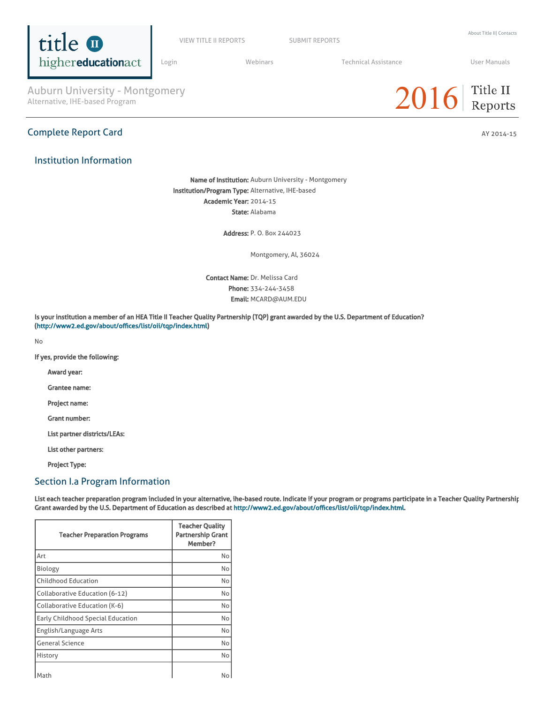

VIEW TITLE II [REPORTS](https://title2.ed.gov/Public/Login.aspx) SUBMIT REPORTS

[Login](https://title2.ed.gov/Public/Login.aspx) **Manual Medinars** Technical [Assistance](https://title2.ed.gov/Public/TA.aspx) **Technical Assistance** User [Manuals](https://title2.ed.gov/Public/Manuals.aspx)

Auburn University - Montgomery<br>Alternative, IHE-based Program

## Institution Information



Name of Institution: Auburn University - Montgomery Institution/Program Type: Alternative, IHE-based Academic Year: 2014-15 State: Alabama

Address: P. O. Box 244023

Montgomery, Al, 36024

Contact Name: Dr. Melissa Card Phone: 334-244-3458 Email: MCARD@AUM.EDU

Is your institution a member of an HEA Title II Teacher Quality Partnership (TQP) grant awarded by the U.S. Department of Education? (<http://www2.ed.gov/about/offices/list/oii/tqp/index.html>)

No

If yes, provide the following:

Award year:

Grantee name:

Project name:

Grant number:

List partner districts/LEAs:

List other partners:

Project Type:

### Section I.a Program Information

List each teacher preparation program included in your alternative, ihe-based route. Indicate if your program or programs participate in a Teacher Quality Partnership Grant awarded by the U.S. Department of Education as described at [http://www2.ed.gov/about/offices/list/oii/tqp/index.html.](http://www2.ed.gov/about/offices/list/oii/tqp/index.html)

| <b>Teacher Preparation Programs</b> | <b>Teacher Quality</b><br><b>Partnership Grant</b><br>Member? |
|-------------------------------------|---------------------------------------------------------------|
| Art                                 | No                                                            |
| Biology                             | No                                                            |
| <b>Childhood Education</b>          | No                                                            |
| Collaborative Education (6-12)      | No                                                            |
| Collaborative Education (K-6)       | No                                                            |
| Early Childhood Special Education   | No                                                            |
| English/Language Arts               | No                                                            |
| <b>General Science</b>              | No                                                            |
| History                             | No                                                            |
| Math                                | No                                                            |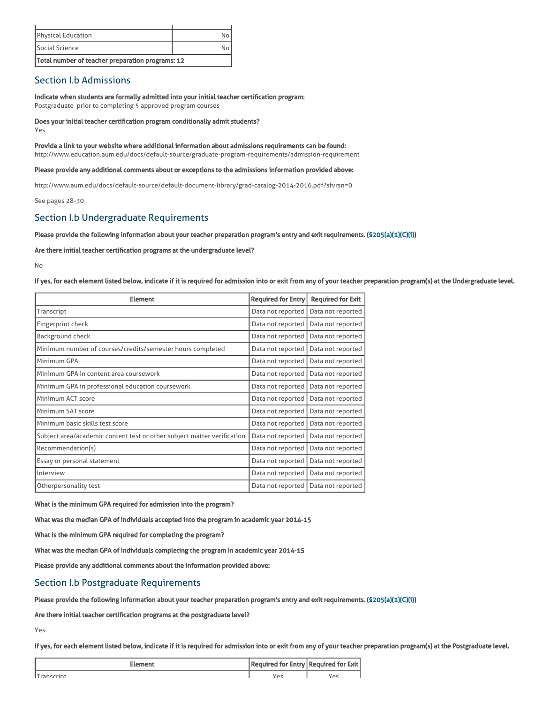| Total number of teacher preparation programs: 12 |  |
|--------------------------------------------------|--|
| Social Science                                   |  |
| <b>Physical Education</b>                        |  |
|                                                  |  |

### Section I.b Admissions

Indicate when students are formally admitted into your initial teacher certification program: Postgraduate prior to completing 5 approved program courses

Does your initial teacher certification program conditionally admit students? Yes

Provide a link to your website where additional information about admissions requirements can be found: http://www.education.aum.edu/docs/default-source/graduate-program-requirements/admission-requirement

Please provide any additional comments about or exceptions to the admissions information provided above:

http://www.aum.edu/docs/default-source/default-document-library/grad-catalog-2014-2016.pdf?sfvrsn=0

See pages 28-30

### Section I.b Undergraduate Requirements

### Please provide the following information about your teacher preparation program's entry and exit requirements. [\(§205\(a\)\(1\)\(C\)\(i\)](http://frwebgate.access.gpo.gov/cgi-bin/getdoc.cgi?dbname=110_cong_public_laws&docid=f:publ315.110.pdf))

Are there initial teacher certification programs at the undergraduate level?

No

#### If yes, for each element listed below, indicate if it is required for admission into or exit from any of your teacher preparation program(s) at the Undergraduate level.

| <b>Element</b>                                                          | <b>Required for Entry</b> | <b>Required for Exit</b> |
|-------------------------------------------------------------------------|---------------------------|--------------------------|
| Transcript                                                              | Data not reported         | Data not reported        |
| Fingerprint check                                                       | Data not reported         | Data not reported        |
| <b>Background check</b>                                                 | Data not reported         | Data not reported        |
| Minimum number of courses/credits/semester hours completed              | Data not reported         | Data not reported        |
| Minimum GPA                                                             | Data not reported         | Data not reported        |
| Minimum GPA in content area coursework                                  | Data not reported         | Data not reported        |
| Minimum GPA in professional education coursework                        | Data not reported         | Data not reported        |
| Minimum ACT score                                                       | Data not reported         | Data not reported        |
| Minimum SAT score                                                       | Data not reported         | Data not reported        |
| Minimum basic skills test score                                         | Data not reported         | Data not reported        |
| Subject area/academic content test or other subject matter verification | Data not reported         | Data not reported        |
| Recommendation(s)                                                       | Data not reported         | Data not reported        |
| Essay or personal statement                                             | Data not reported         | Data not reported        |
| Interview                                                               | Data not reported         | Data not reported        |
| Otherpersonality test                                                   | Data not reported         | Data not reported        |

What is the minimum GPA required for admission into the program?

What was the median GPA of individuals accepted into the program in academic year 2014-15

What is the minimum GPA required for completing the program?

What was the median GPA of individuals completing the program in academic year 2014-15

Please provide any additional comments about the information provided above:

### Section I.b Postgraduate Requirements

Please provide the following information about your teacher preparation program's entry and exit requirements. [\(§205\(a\)\(1\)\(C\)\(i\)](http://frwebgate.access.gpo.gov/cgi-bin/getdoc.cgi?dbname=110_cong_public_laws&docid=f:publ315.110.pdf))

Are there initial teacher certification programs at the postgraduate level?

Yes

If yes, for each element listed below, indicate if it is required for admission into or exit from any of your teacher preparation program(s) at the Postgraduate level.

| :lement    | Required for Entry   Required for Exit |     |  |
|------------|----------------------------------------|-----|--|
| Transcrint |                                        | V≏s |  |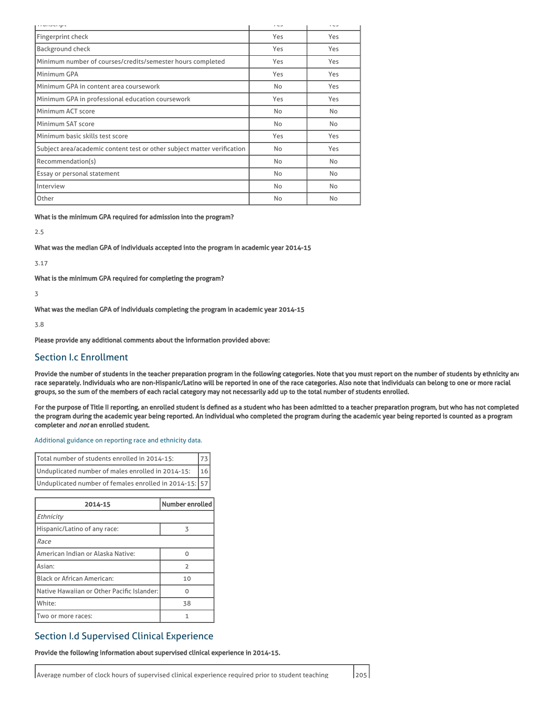| <b>TEMPLO TEMPLO</b>                                                    | $\sim$ | $\sim$ |
|-------------------------------------------------------------------------|--------|--------|
| Fingerprint check                                                       | Yes    | Yes    |
| <b>Background check</b>                                                 | Yes    | Yes    |
| Minimum number of courses/credits/semester hours completed              | Yes    | Yes    |
| Minimum GPA                                                             | Yes    | Yes    |
| Minimum GPA in content area coursework                                  | No     | Yes    |
| Minimum GPA in professional education coursework                        | Yes    | Yes    |
| Minimum ACT score                                                       | No     | No     |
| Minimum SAT score                                                       | No     | No     |
| Minimum basic skills test score                                         | Yes    | Yes    |
| Subject area/academic content test or other subject matter verification | No     | Yes    |
| Recommendation(s)                                                       | No     | No     |
| Essay or personal statement                                             | No     | No     |
| Interview                                                               | No     | No     |
| Other                                                                   | No     | No     |

What is the minimum GPA required for admission into the program?

2.5

What was the median GPA of individuals accepted into the program in academic year 2014-15

3.17

What is the minimum GPA required for completing the program?

3

What was the median GPA of individuals completing the program in academic year 2014-15

3.8

Please provide any additional comments about the information provided above:

### Section I.c Enrollment

Provide the number of students in the teacher preparation program in the following categories. Note that you must report on the number of students by ethnicity and race separately. Individuals who are non-Hispanic/Latino will be reported in one of the race categories. Also note that individuals can belong to one or more racial groups, so the sum of the members of each racial category may not necessarily add up to the total number of students enrolled.

For the purpose of Title II reporting, an enrolled student is defined as a student who has been admitted to a teacher preparation program, but who has not completed the program during the academic year being reported. An individual who completed the program during the academic year being reported is counted as a program completer and not an enrolled student.

#### [Additional](https://title2.ed.gov/Public/TA/Race_ethnicity.pdf) guidance on reporting race and ethnicity data.

| Total number of students enrolled in 2014-15:          |     |
|--------------------------------------------------------|-----|
| Unduplicated number of males enrolled in 2014-15:      | 116 |
| Unduplicated number of females enrolled in 2014-15: 57 |     |

| 2014-15                                    | Number enrolled |
|--------------------------------------------|-----------------|
| Ethnicity                                  |                 |
| Hispanic/Latino of any race:               | 3               |
| Race                                       |                 |
| American Indian or Alaska Native:          | U               |
| Asian:                                     | $\mathcal{P}$   |
| <b>Black or African American:</b>          | 10              |
| Native Hawaiian or Other Pacific Islander: | U               |
| White:                                     | 38              |
| Two or more races:                         |                 |

### Section I.d Supervised Clinical Experience

Provide the following information about supervised clinical experience in 2014-15.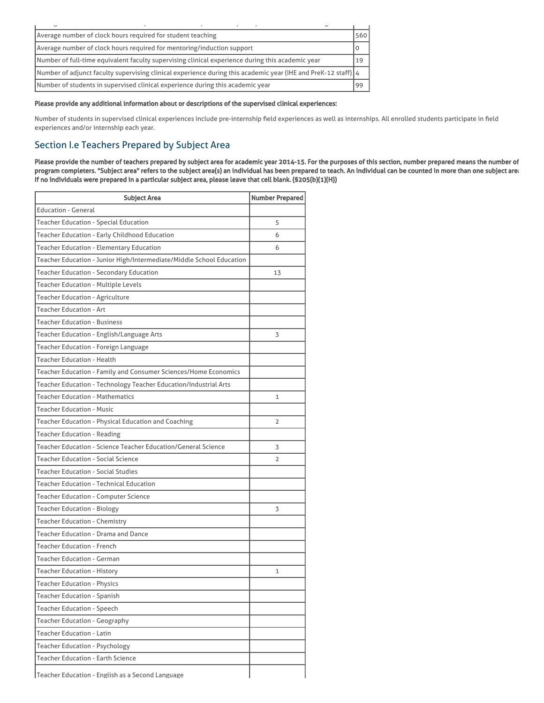| $\overline{\phantom{0}}$                                                                                      |         |
|---------------------------------------------------------------------------------------------------------------|---------|
| Average number of clock hours required for student teaching                                                   | 560     |
| Average number of clock hours required for mentoring/induction support                                        | $\circ$ |
| Number of full-time equivalent faculty supervising clinical experience during this academic year              | 19      |
| Number of adjunct faculty supervising clinical experience during this academic year (IHE and PreK-12 staff) 4 |         |
| Number of students in supervised clinical experience during this academic year                                | 99      |

### Please provide any additional information about or descriptions of the supervised clinical experiences:

Number of students in supervised clinical experiences include pre-internship field experiences as well as internships. All enrolled students participate in field experiences and/or internship each year.

## Section I.e Teachers Prepared by Subject Area

Please provide the number of teachers prepared by subject area for academic year 2014-15. For the purposes of this section, number prepared means the number of program completers. "Subject area" refers to the subject area(s) an individual has been prepared to teach. An individual can be counted in more than one subject area. If no individuals were prepared in a particular subject area, please leave that cell blank. (§205(b)(1)(H))

| <b>Subject Area</b>                                                  | <b>Number Prepared</b> |
|----------------------------------------------------------------------|------------------------|
| <b>Education - General</b>                                           |                        |
| Teacher Education - Special Education                                | 5                      |
| Teacher Education - Early Childhood Education                        | 6                      |
| <b>Teacher Education - Elementary Education</b>                      | 6                      |
| Teacher Education - Junior High/Intermediate/Middle School Education |                        |
| Teacher Education - Secondary Education                              | 13                     |
| Teacher Education - Multiple Levels                                  |                        |
| <b>Teacher Education - Agriculture</b>                               |                        |
| <b>Teacher Education - Art</b>                                       |                        |
| <b>Teacher Education - Business</b>                                  |                        |
| Teacher Education - English/Language Arts                            | 3                      |
| Teacher Education - Foreign Language                                 |                        |
| <b>Teacher Education - Health</b>                                    |                        |
| Teacher Education - Family and Consumer Sciences/Home Economics      |                        |
| Teacher Education - Technology Teacher Education/Industrial Arts     |                        |
| <b>Teacher Education - Mathematics</b>                               | 1                      |
| <b>Teacher Education - Music</b>                                     |                        |
| Teacher Education - Physical Education and Coaching                  | 2                      |
| <b>Teacher Education - Reading</b>                                   |                        |
| Teacher Education - Science Teacher Education/General Science        | 3                      |
| <b>Teacher Education - Social Science</b>                            | 2                      |
| <b>Teacher Education - Social Studies</b>                            |                        |
| Teacher Education - Technical Education                              |                        |
| <b>Teacher Education - Computer Science</b>                          |                        |
| <b>Teacher Education - Biology</b>                                   | 3                      |
| <b>Teacher Education - Chemistry</b>                                 |                        |
| Teacher Education - Drama and Dance                                  |                        |
| <b>Teacher Education - French</b>                                    |                        |
| <b>Teacher Education - German</b>                                    |                        |
| <b>Teacher Education - History</b>                                   | 1                      |
| <b>Teacher Education - Physics</b>                                   |                        |
| <b>Teacher Education - Spanish</b>                                   |                        |
| <b>Teacher Education - Speech</b>                                    |                        |
| Teacher Education - Geography                                        |                        |
| <b>Teacher Education - Latin</b>                                     |                        |
| <b>Teacher Education - Psychology</b>                                |                        |
| <b>Teacher Education - Earth Science</b>                             |                        |
| Teacher Education - English as a Second Language                     |                        |

Teacher Education - English as a Second Language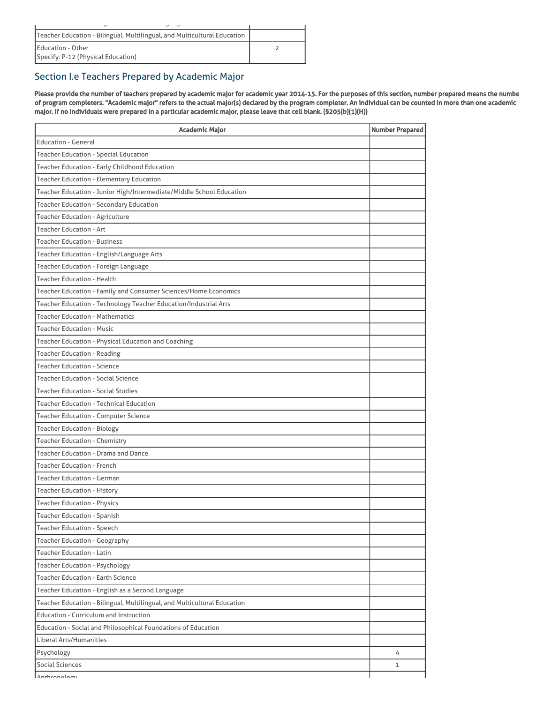| $\overline{\phantom{a}}$<br>$\overline{\phantom{a}}$                     |  |
|--------------------------------------------------------------------------|--|
| Teacher Education - Bilingual, Multilingual, and Multicultural Education |  |
| Education - Other                                                        |  |
| Specify: P-12 (Physical Education)                                       |  |

# Section I.e Teachers Prepared by Academic Major

Please provide the number of teachers prepared by academic major for academic year 2014-15. For the purposes of this section, number prepared means the numbe of program completers. "Academic major" refers to the actual major(s) declared by the program completer. An individual can be counted in more than one academic major. If no individuals were prepared in a particular academic major, please leave that cell blank. (§205(b)(1)(H))

| <b>Academic Major</b>                                                    | <b>Number Prepared</b> |
|--------------------------------------------------------------------------|------------------------|
| <b>Education - General</b>                                               |                        |
| <b>Teacher Education - Special Education</b>                             |                        |
| Teacher Education - Early Childhood Education                            |                        |
| <b>Teacher Education - Elementary Education</b>                          |                        |
| Teacher Education - Junior High/Intermediate/Middle School Education     |                        |
| <b>Teacher Education - Secondary Education</b>                           |                        |
| Teacher Education - Agriculture                                          |                        |
| <b>Teacher Education - Art</b>                                           |                        |
| <b>Teacher Education - Business</b>                                      |                        |
| Teacher Education - English/Language Arts                                |                        |
| Teacher Education - Foreign Language                                     |                        |
| <b>Teacher Education - Health</b>                                        |                        |
| Teacher Education - Family and Consumer Sciences/Home Economics          |                        |
| Teacher Education - Technology Teacher Education/Industrial Arts         |                        |
| <b>Teacher Education - Mathematics</b>                                   |                        |
| <b>Teacher Education - Music</b>                                         |                        |
| Teacher Education - Physical Education and Coaching                      |                        |
| <b>Teacher Education - Reading</b>                                       |                        |
| <b>Teacher Education - Science</b>                                       |                        |
| <b>Teacher Education - Social Science</b>                                |                        |
| <b>Teacher Education - Social Studies</b>                                |                        |
| <b>Teacher Education - Technical Education</b>                           |                        |
| <b>Teacher Education - Computer Science</b>                              |                        |
| <b>Teacher Education - Biology</b>                                       |                        |
| <b>Teacher Education - Chemistry</b>                                     |                        |
| <b>Teacher Education - Drama and Dance</b>                               |                        |
| <b>Teacher Education - French</b>                                        |                        |
| <b>Teacher Education - German</b>                                        |                        |
| <b>Teacher Education - History</b>                                       |                        |
| <b>Teacher Education - Physics</b>                                       |                        |
| <b>Teacher Education - Spanish</b>                                       |                        |
| <b>Teacher Education - Speech</b>                                        |                        |
| <b>Teacher Education - Geography</b>                                     |                        |
| <b>Teacher Education - Latin</b>                                         |                        |
| Teacher Education - Psychology                                           |                        |
| <b>Teacher Education - Earth Science</b>                                 |                        |
| Teacher Education - English as a Second Language                         |                        |
| Teacher Education - Bilingual, Multilingual, and Multicultural Education |                        |
| <b>Education - Curriculum and Instruction</b>                            |                        |
| Education - Social and Philosophical Foundations of Education            |                        |
| Liberal Arts/Humanities                                                  |                        |
| Psychology                                                               | 4                      |
| Social Sciences                                                          | 1                      |
| Anthropology                                                             |                        |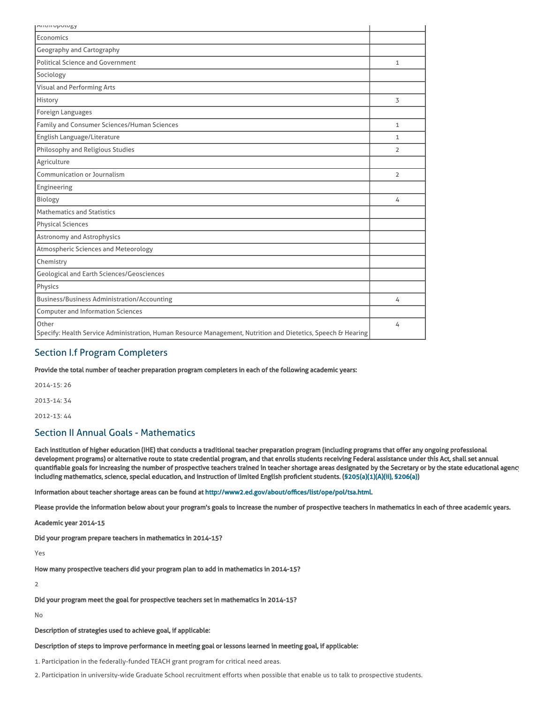| <b>AITUTT UPUTUBY</b>                                                                                                 |                |
|-----------------------------------------------------------------------------------------------------------------------|----------------|
| Economics                                                                                                             |                |
| Geography and Cartography                                                                                             |                |
| <b>Political Science and Government</b>                                                                               | $\mathbf{1}$   |
| Sociology                                                                                                             |                |
| Visual and Performing Arts                                                                                            |                |
| History                                                                                                               | 3              |
| Foreign Languages                                                                                                     |                |
| Family and Consumer Sciences/Human Sciences                                                                           | $\mathbf{1}$   |
| English Language/Literature                                                                                           | 1              |
| Philosophy and Religious Studies                                                                                      | $\overline{2}$ |
| Agriculture                                                                                                           |                |
| Communication or Journalism                                                                                           | $\overline{2}$ |
| Engineering                                                                                                           |                |
| Biology                                                                                                               | 4              |
| <b>Mathematics and Statistics</b>                                                                                     |                |
| <b>Physical Sciences</b>                                                                                              |                |
| <b>Astronomy and Astrophysics</b>                                                                                     |                |
| <b>Atmospheric Sciences and Meteorology</b>                                                                           |                |
| Chemistry                                                                                                             |                |
| <b>Geological and Earth Sciences/Geosciences</b>                                                                      |                |
| Physics                                                                                                               |                |
| <b>Business/Business Administration/Accounting</b>                                                                    | 4              |
| <b>Computer and Information Sciences</b>                                                                              |                |
| Other<br>Specify: Health Service Administration, Human Resource Management, Nutrition and Dietetics, Speech & Hearing | 4              |

### Section I.f Program Completers

Provide the total number of teacher preparation program completers in each of the following academic years:

2014-15: 26 2013-14: 34 2012-13: 44

# Section II Annual Goals - Mathematics

Each institution of higher education (IHE) that conducts a traditional teacher preparation program (including programs that offer any ongoing professional development programs) or alternative route to state credential program, and that enrolls students receiving Federal assistance under this Act, shall set annual quantifiable goals for increasing the number of prospective teachers trained in teacher shortage areas designated by the Secretary or by the state educational agency including mathematics, science, special education, and instruction of limited English proficient students. ([§205\(a\)\(1\)\(A\)\(ii\), §206\(a\)\)](http://frwebgate.access.gpo.gov/cgi-bin/getdoc.cgi?dbname=110_cong_public_laws&docid=f:publ315.110.pdf)

Information about teacher shortage areas can be found at [http://www2.ed.gov/about/offices/list/ope/pol/tsa.html.](http://www2.ed.gov/about/offices/list/ope/pol/tsa.html)

Please provide the information below about your program's goals to increase the number of prospective teachers in mathematics in each of three academic years.

Academic year 2014-15

Did your program prepare teachers in mathematics in 2014-15?

Yes

How many prospective teachers did your program plan to add in mathematics in 2014-15?

 $\overline{2}$ 

Did your program meet the goal for prospective teachers set in mathematics in 2014-15?

No

Description of strategies used to achieve goal, if applicable:

#### Description of steps to improve performance in meeting goal or lessons learned in meeting goal, if applicable:

1. Participation in the federally-funded TEACH grant program for critical need areas.

2. Participation in university-wide Graduate School recruitment efforts when possible that enable us to talk to prospective students.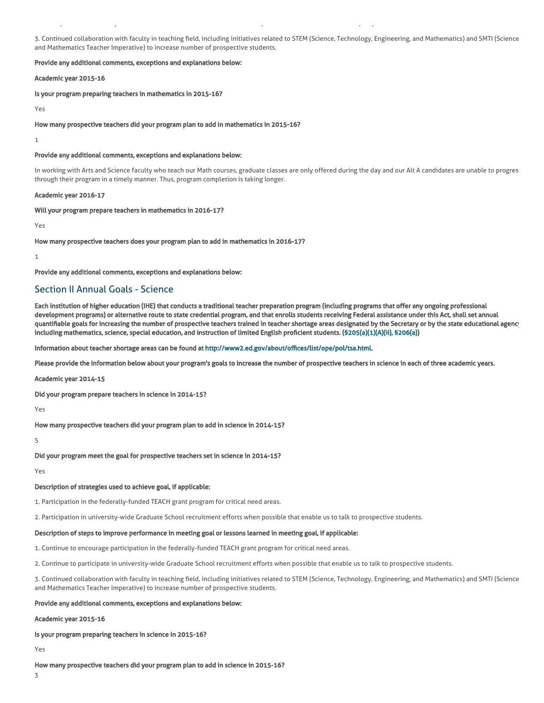3. Continued collaboration with faculty in teaching field, including initiatives related to STEM (Science, Technology, Engineering, and Mathematics) and SMTI (Science and Mathematics Teacher Imperative) to increase number of prospective students.

2. Participation in university-wide Graduate School recruitment efforts when possible that enable us to talk to prospective students.

#### Provide any additional comments, exceptions and explanations below:

Academic year 2015-16

Is your program preparing teachers in mathematics in 2015-16?

Yes

How many prospective teachers did your program plan to add in mathematics in 2015-16?

1

#### Provide any additional comments, exceptions and explanations below:

In working with Arts and Science faculty who teach our Math courses, graduate classes are only offered during the day and our Alt A candidates are unable to progres through their program in a timely manner. Thus, program completion is taking longer.

#### Academic year 2016-17

Will your program prepare teachers in mathematics in 2016-17?

Yes

#### How many prospective teachers does your program plan to add in mathematics in 2016-17?

1

Provide any additional comments, exceptions and explanations below:

### Section II Annual Goals - Science

Each institution of higher education (IHE) that conducts a traditional teacher preparation program (including programs that offer any ongoing professional development programs) or alternative route to state credential program, and that enrolls students receiving Federal assistance under this Act, shall set annual quantifiable goals for increasing the number of prospective teachers trained in teacher shortage areas designated by the Secretary or by the state educational agency including mathematics, science, special education, and instruction of limited English proficient students. ([§205\(a\)\(1\)\(A\)\(ii\), §206\(a\)\)](http://frwebgate.access.gpo.gov/cgi-bin/getdoc.cgi?dbname=110_cong_public_laws&docid=f:publ315.110.pdf)

Information about teacher shortage areas can be found at [http://www2.ed.gov/about/offices/list/ope/pol/tsa.html.](http://www2.ed.gov/about/offices/list/ope/pol/tsa.html)

Please provide the information below about your program's goals to increase the number of prospective teachers in science in each of three academic years.

Academic year 2014-15

Did your program prepare teachers in science in 2014-15?

Yes

How many prospective teachers did your program plan to add in science in 2014-15?

5

Did your program meet the goal for prospective teachers set in science in 2014-15?

Yes

#### Description of strategies used to achieve goal, if applicable:

1. Participation in the federally-funded TEACH grant program for critical need areas.

2. Participation in university-wide Graduate School recruitment efforts when possible that enable us to talk to prospective students.

#### Description of steps to improve performance in meeting goal or lessons learned in meeting goal, if applicable:

1. Continue to encourage participation in the federally-funded TEACH grant program for critical need areas.

2. Continue to participate in university-wide Graduate School recruitment efforts when possible that enable us to talk to prospective students.

3. Continued collaboration with faculty in teaching field, including initiatives related to STEM (Science, Technology, Engineering, and Mathematics) and SMTI (Science and Mathematics Teacher Imperative) to increase number of prospective students.

#### Provide any additional comments, exceptions and explanations below:

#### Academic year 2015-16

Is your program preparing teachers in science in 2015-16?

Yes

How many prospective teachers did your program plan to add in science in 2015-16?

3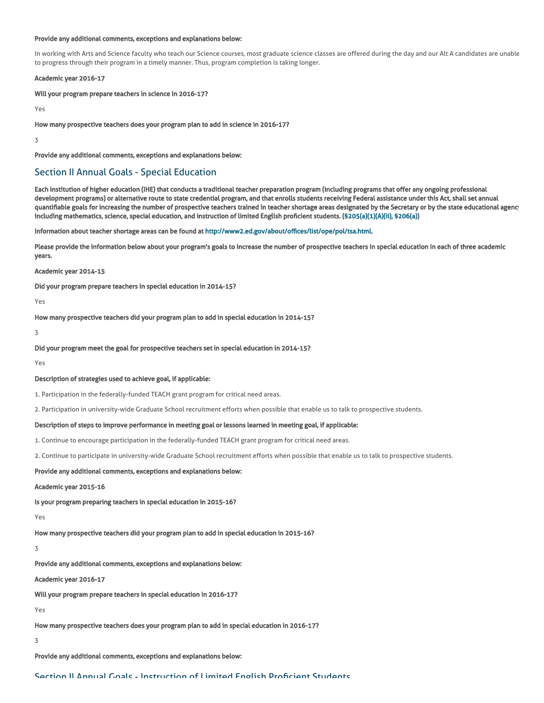#### Provide any additional comments, exceptions and explanations below:

In working with Arts and Science faculty who teach our Science courses, most graduate science classes are offered during the day and our Alt A candidates are unable to progress through their program in a timely manner. Thus, program completion is taking longer.

#### Academic year 2016-17

Will your program prepare teachers in science in 2016-17?

Yes

3

How many prospective teachers does your program plan to add in science in 2016-17?

3

Provide any additional comments, exceptions and explanations below:

### Section II Annual Goals - Special Education

Each institution of higher education (IHE) that conducts a traditional teacher preparation program (including programs that offer any ongoing professional development programs) or alternative route to state credential program, and that enrolls students receiving Federal assistance under this Act, shall set annual quantifiable goals for increasing the number of prospective teachers trained in teacher shortage areas designated by the Secretary or by the state educational agency including mathematics, science, special education, and instruction of limited English proficient students. ([§205\(a\)\(1\)\(A\)\(ii\), §206\(a\)\)](http://frwebgate.access.gpo.gov/cgi-bin/getdoc.cgi?dbname=110_cong_public_laws&docid=f:publ315.110.pdf)

Information about teacher shortage areas can be found at [http://www2.ed.gov/about/offices/list/ope/pol/tsa.html.](http://www2.ed.gov/about/offices/list/ope/pol/tsa.html)

Please provide the information below about your program's goals to increase the number of prospective teachers in special education in each of three academic years.

#### Academic year 2014-15

Did your program prepare teachers in special education in 2014-15?

Yes

How many prospective teachers did your program plan to add in special education in 2014-15?

3

#### Did your program meet the goal for prospective teachers set in special education in 2014-15?

Yes

#### Description of strategies used to achieve goal, if applicable:

1. Participation in the federally-funded TEACH grant program for critical need areas.

2. Participation in university-wide Graduate School recruitment efforts when possible that enable us to talk to prospective students.

#### Description of steps to improve performance in meeting goal or lessons learned in meeting goal, if applicable:

1. Continue to encourage participation in the federally-funded TEACH grant program for critical need areas.

2. Continue to participate in university-wide Graduate School recruitment efforts when possible that enable us to talk to prospective students.

#### Provide any additional comments, exceptions and explanations below:

#### Academic year 2015-16

Is your program preparing teachers in special education in 2015-16?

Yes

How many prospective teachers did your program plan to add in special education in 2015-16?

3

Provide any additional comments, exceptions and explanations below:

#### Academic year 2016-17

Will your program prepare teachers in special education in 2016-17?

Yes

How many prospective teachers does your program plan to add in special education in 2016-17?

3

Provide any additional comments, exceptions and explanations below:

Section II Annual Goals - Instruction of Limited English Proficient Students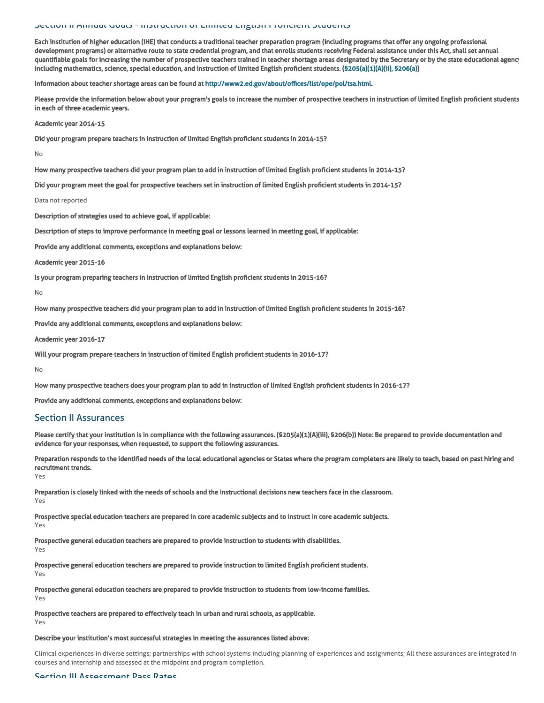#### Section II Annual Goals - Instruction of Limited English Proficient Students

Each institution of higher education (IHE) that conducts a traditional teacher preparation program (including programs that offer any ongoing professional development programs) or alternative route to state credential program, and that enrolls students receiving Federal assistance under this Act, shall set annual quantifiable goals for increasing the number of prospective teachers trained in teacher shortage areas designated by the Secretary or by the state educational agency including mathematics, science, special education, and instruction of limited English proficient students. ([§205\(a\)\(1\)\(A\)\(ii\), §206\(a\)\)](http://frwebgate.access.gpo.gov/cgi-bin/getdoc.cgi?dbname=110_cong_public_laws&docid=f:publ315.110.pdf)

Information about teacher shortage areas can be found at [http://www2.ed.gov/about/offices/list/ope/pol/tsa.html.](http://www2.ed.gov/about/offices/list/ope/pol/tsa.html)

Please provide the information below about your program's goals to increase the number of prospective teachers in instruction of limited English proficient students in each of three academic years.

Academic year 2014-15

Did your program prepare teachers in instruction of limited English proficient students in 2014-15?

No

How many prospective teachers did your program plan to add in instruction of limited English proficient students in 2014-15?

Did your program meet the goal for prospective teachers set in instruction of limited English proficient students in 2014-15?

Data not reported

Description of strategies used to achieve goal, if applicable:

Description of steps to improve performance in meeting goal or lessons learned in meeting goal, if applicable:

Provide any additional comments, exceptions and explanations below:

Academic year 2015-16

Is your program preparing teachers in instruction of limited English proficient students in 2015-16?

No

How many prospective teachers did your program plan to add in instruction of limited English proficient students in 2015-16?

Provide any additional comments, exceptions and explanations below:

Academic year 2016-17

Will your program prepare teachers in instruction of limited English proficient students in 2016-17?

No

How many prospective teachers does your program plan to add in instruction of limited English proficient students in 2016-17?

Provide any additional comments, exceptions and explanations below:

### Section II Assurances

Please certify that your institution is in compliance with the following assurances. (\$205(a)(1)(A)(iii), \$206(b)) Note: Be prepared to provide documentation and evidence for your responses, when requested, to support the following assurances.

Preparation responds to the identified needs of the local educational agencies or States where the program completers are likely to teach, based on past hiring and recruitment trends.

Yes

Yes

Preparation is closely linked with the needs of schools and the instructional decisions new teachers face in the classroom. Yes

Prospective special education teachers are prepared in core academic subjects and to instruct in core academic subjects.

Prospective general education teachers are prepared to provide instruction to students with disabilities. Yes

Prospective general education teachers are prepared to provide instruction to limited English proficient students. Yes

Prospective general education teachers are prepared to provide instruction to students from low-income families. Yes

Prospective teachers are prepared to effectively teach in urban and rural schools, as applicable. Yes

#### Describe your institution's most successful strategies in meeting the assurances listed above:

Clinical experiences in diverse settings; partnerships with school systems including planning of experiences and assignments; All these assurances are integrated in courses and internship and assessed at the midpoint and program completion.

#### Section III Assessment Pass Pates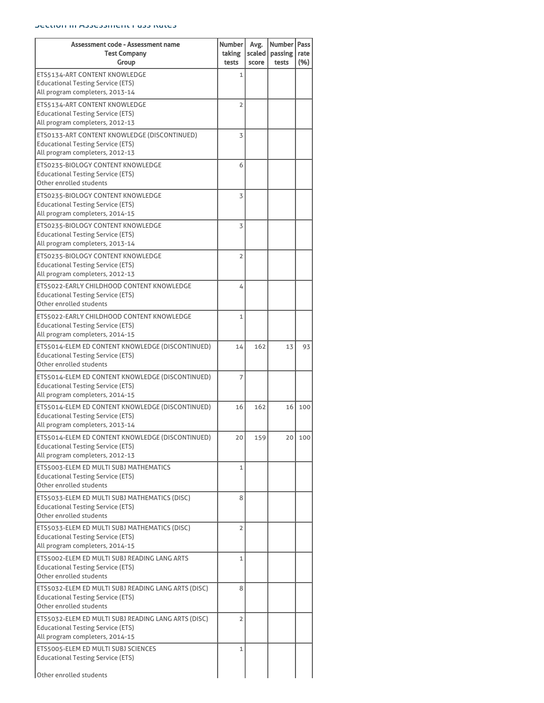#### Section III Assessment Pass Rates

| Assessment code - Assessment name<br><b>Test Company</b>                                                                        | Number<br>taking | Avg.<br>scaled | Number<br>passing | Pass<br>rate |
|---------------------------------------------------------------------------------------------------------------------------------|------------------|----------------|-------------------|--------------|
| Group<br>ETS5134-ART CONTENT KNOWLEDGE<br><b>Educational Testing Service (ETS)</b><br>All program completers, 2013-14           | tests<br>1       | score          | tests             | (%)          |
| ETS5134-ART CONTENT KNOWLEDGE<br><b>Educational Testing Service (ETS)</b><br>All program completers, 2012-13                    | $\overline{2}$   |                |                   |              |
| ETS0133-ART CONTENT KNOWLEDGE (DISCONTINUED)<br><b>Educational Testing Service (ETS)</b><br>All program completers, 2012-13     | 3                |                |                   |              |
| ETS0235-BIOLOGY CONTENT KNOWLEDGE<br><b>Educational Testing Service (ETS)</b><br>Other enrolled students                        | 6                |                |                   |              |
| ETS0235-BIOLOGY CONTENT KNOWLEDGE<br><b>Educational Testing Service (ETS)</b><br>All program completers, 2014-15                | 3                |                |                   |              |
| ETS0235-BIOLOGY CONTENT KNOWLEDGE<br><b>Educational Testing Service (ETS)</b><br>All program completers, 2013-14                | 3                |                |                   |              |
| ETS0235-BIOLOGY CONTENT KNOWLEDGE<br><b>Educational Testing Service (ETS)</b><br>All program completers, 2012-13                | $\overline{2}$   |                |                   |              |
| ETS5022-EARLY CHILDHOOD CONTENT KNOWLEDGE<br><b>Educational Testing Service (ETS)</b><br>Other enrolled students                | 4                |                |                   |              |
| ETS5022-EARLY CHILDHOOD CONTENT KNOWLEDGE<br><b>Educational Testing Service (ETS)</b><br>All program completers, 2014-15        | $\mathbf{1}$     |                |                   |              |
| ETS5014-ELEM ED CONTENT KNOWLEDGE (DISCONTINUED)<br><b>Educational Testing Service (ETS)</b><br>Other enrolled students         | 14               | 162            | 13                | 93           |
| ETS5014-ELEM ED CONTENT KNOWLEDGE (DISCONTINUED)<br><b>Educational Testing Service (ETS)</b><br>All program completers, 2014-15 | 7                |                |                   |              |
| ETS5014-ELEM ED CONTENT KNOWLEDGE (DISCONTINUED)<br><b>Educational Testing Service (ETS)</b><br>All program completers, 2013-14 | 16               | 162            | 16                | 100          |
| ETS5014-ELEM ED CONTENT KNOWLEDGE (DISCONTINUED)<br><b>Educational Testing Service (ETS)</b><br>All program completers, 2012-13 | 20               | 159            | 20                | 100          |
| ETS5003-ELEM ED MULTI SUBJ MATHEMATICS<br><b>Educational Testing Service (ETS)</b><br>Other enrolled students                   | $\mathbf{1}$     |                |                   |              |
| ETS5033-ELEM ED MULTI SUBJ MATHEMATICS (DISC)<br><b>Educational Testing Service (ETS)</b><br>Other enrolled students            | 8                |                |                   |              |
| ETS5033-ELEM ED MULTI SUBJ MATHEMATICS (DISC)<br>Educational Testing Service (ETS)<br>All program completers, 2014-15           | $\overline{2}$   |                |                   |              |
| ETS5002-ELEM ED MULTI SUBJ READING LANG ARTS<br><b>Educational Testing Service (ETS)</b><br>Other enrolled students             | 1                |                |                   |              |
| ETS5032-ELEM ED MULTI SUBJ READING LANG ARTS (DISC)<br><b>Educational Testing Service (ETS)</b><br>Other enrolled students      | 8                |                |                   |              |
| ETS5032-ELEM ED MULTI SUBJ READING LANG ARTS (DISC)<br>Educational Testing Service (ETS)<br>All program completers, 2014-15     | $\overline{2}$   |                |                   |              |
| ETS5005-ELEM ED MULTI SUBJ SCIENCES<br><b>Educational Testing Service (ETS)</b>                                                 | 1                |                |                   |              |
| Other enrolled students                                                                                                         |                  |                |                   |              |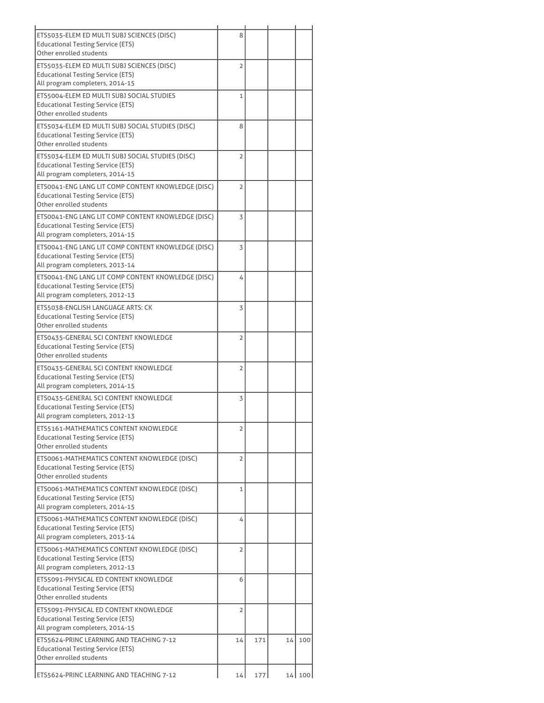| ETS5035-ELEM ED MULTI SUBJ SCIENCES (DISC)<br><b>Educational Testing Service (ETS)</b><br>Other enrolled students                 | 8              |     |    |          |
|-----------------------------------------------------------------------------------------------------------------------------------|----------------|-----|----|----------|
| ETS5035-ELEM ED MULTI SUBJ SCIENCES (DISC)<br><b>Educational Testing Service (ETS)</b><br>All program completers, 2014-15         | $\overline{2}$ |     |    |          |
| ETS5004-ELEM ED MULTI SUBJ SOCIAL STUDIES<br><b>Educational Testing Service (ETS)</b><br>Other enrolled students                  | $\mathbf{1}$   |     |    |          |
| ETS5034-ELEM ED MULTI SUBJ SOCIAL STUDIES (DISC)<br><b>Educational Testing Service (ETS)</b><br>Other enrolled students           | 8              |     |    |          |
| ETS5034-ELEM ED MULTI SUBJ SOCIAL STUDIES (DISC)<br><b>Educational Testing Service (ETS)</b><br>All program completers, 2014-15   | $\overline{2}$ |     |    |          |
| ETS0041-ENG LANG LIT COMP CONTENT KNOWLEDGE (DISC)<br><b>Educational Testing Service (ETS)</b><br>Other enrolled students         | $\overline{2}$ |     |    |          |
| ETS0041-ENG LANG LIT COMP CONTENT KNOWLEDGE (DISC)<br><b>Educational Testing Service (ETS)</b><br>All program completers, 2014-15 | 3              |     |    |          |
| ETS0041-ENG LANG LIT COMP CONTENT KNOWLEDGE (DISC)<br><b>Educational Testing Service (ETS)</b><br>All program completers, 2013-14 | 3              |     |    |          |
| ETS0041-ENG LANG LIT COMP CONTENT KNOWLEDGE (DISC)<br><b>Educational Testing Service (ETS)</b><br>All program completers, 2012-13 | 4              |     |    |          |
| ETS5038-ENGLISH LANGUAGE ARTS: CK<br><b>Educational Testing Service (ETS)</b><br>Other enrolled students                          | 3              |     |    |          |
| ETS0435-GENERAL SCI CONTENT KNOWLEDGE<br><b>Educational Testing Service (ETS)</b><br>Other enrolled students                      | $\overline{2}$ |     |    |          |
| ETS0435-GENERAL SCI CONTENT KNOWLEDGE<br><b>Educational Testing Service (ETS)</b><br>All program completers, 2014-15              | $\overline{2}$ |     |    |          |
| ETS0435-GENERAL SCI CONTENT KNOWLEDGE<br><b>Educational Testing Service (ETS)</b><br>All program completers, 2012-13              | 3              |     |    |          |
| ETS5161-MATHEMATICS CONTENT KNOWLEDGE<br><b>Educational Testing Service (ETS)</b><br>Other enrolled students                      | 2              |     |    |          |
| ETS0061-MATHEMATICS CONTENT KNOWLEDGE (DISC)<br><b>Educational Testing Service (ETS)</b><br>Other enrolled students               | $\overline{2}$ |     |    |          |
| ETS0061-MATHEMATICS CONTENT KNOWLEDGE (DISC)<br><b>Educational Testing Service (ETS)</b><br>All program completers, 2014-15       | $\mathbf{1}$   |     |    |          |
| ETS0061-MATHEMATICS CONTENT KNOWLEDGE (DISC)<br>Educational Testing Service (ETS)<br>All program completers, 2013-14              | 4              |     |    |          |
| ETS0061-MATHEMATICS CONTENT KNOWLEDGE (DISC)<br><b>Educational Testing Service (ETS)</b><br>All program completers, 2012-13       | $\overline{2}$ |     |    |          |
| ETS5091-PHYSICAL ED CONTENT KNOWLEDGE<br><b>Educational Testing Service (ETS)</b><br>Other enrolled students                      | 6              |     |    |          |
| ETS5091-PHYSICAL ED CONTENT KNOWLEDGE<br><b>Educational Testing Service (ETS)</b><br>All program completers, 2014-15              | $\overline{2}$ |     |    |          |
| ETS5624-PRINC LEARNING AND TEACHING 7-12<br><b>Educational Testing Service (ETS)</b><br>Other enrolled students                   | 14             | 171 | 14 | 100      |
| ETS5624-PRINC LEARNING AND TEACHING 7-12                                                                                          | 14             | 177 |    | 14   100 |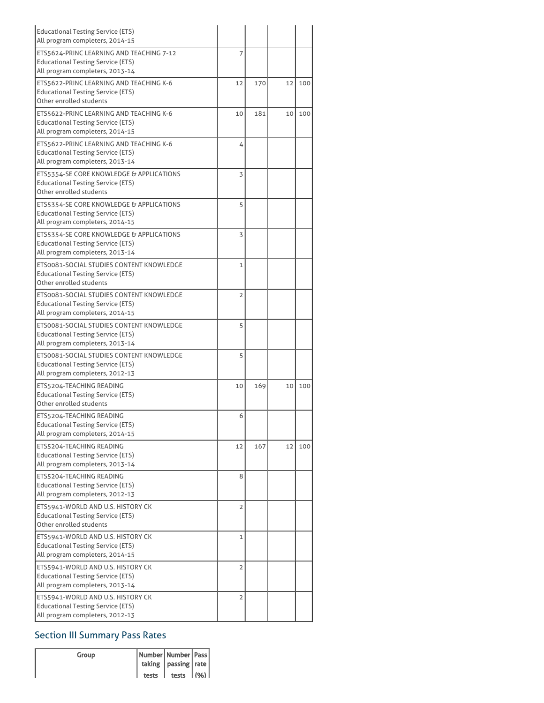| <b>Educational Testing Service (ETS)</b><br>All program completers, 2014-15                                             |              |     |    |     |
|-------------------------------------------------------------------------------------------------------------------------|--------------|-----|----|-----|
| ETS5624-PRINC LEARNING AND TEACHING 7-12<br><b>Educational Testing Service (ETS)</b><br>All program completers, 2013-14 | 7            |     |    |     |
| ETS5622-PRINC LEARNING AND TEACHING K-6<br><b>Educational Testing Service (ETS)</b><br>Other enrolled students          | 12           | 170 | 12 | 100 |
| ETS5622-PRINC LEARNING AND TEACHING K-6<br><b>Educational Testing Service (ETS)</b><br>All program completers, 2014-15  | 10           | 181 | 10 | 100 |
| ETS5622-PRINC LEARNING AND TEACHING K-6<br><b>Educational Testing Service (ETS)</b><br>All program completers, 2013-14  | 4            |     |    |     |
| ETS5354-SE CORE KNOWLEDGE & APPLICATIONS<br><b>Educational Testing Service (ETS)</b><br>Other enrolled students         | 3            |     |    |     |
| ETS5354-SE CORE KNOWLEDGE & APPLICATIONS<br><b>Educational Testing Service (ETS)</b><br>All program completers, 2014-15 | 5            |     |    |     |
| ETS5354-SE CORE KNOWLEDGE & APPLICATIONS<br>Educational Testing Service (ETS)<br>All program completers, 2013-14        | 3            |     |    |     |
| ETS0081-SOCIAL STUDIES CONTENT KNOWLEDGE<br><b>Educational Testing Service (ETS)</b><br>Other enrolled students         | $\mathbf{1}$ |     |    |     |
| ETS0081-SOCIAL STUDIES CONTENT KNOWLEDGE<br><b>Educational Testing Service (ETS)</b><br>All program completers, 2014-15 | 2            |     |    |     |
| ETS0081-SOCIAL STUDIES CONTENT KNOWLEDGE<br><b>Educational Testing Service (ETS)</b><br>All program completers, 2013-14 | 5            |     |    |     |
| ETS0081-SOCIAL STUDIES CONTENT KNOWLEDGE<br><b>Educational Testing Service (ETS)</b><br>All program completers, 2012-13 | 5            |     |    |     |
| ETS5204-TEACHING READING<br><b>Educational Testing Service (ETS)</b><br>Other enrolled students                         | 10           | 169 | 10 | 100 |
| ETS5204-TEACHING READING<br><b>Educational Testing Service (ETS)</b><br>All program completers, 2014-15                 | 6            |     |    |     |
| ETS5204-TEACHING READING<br><b>Educational Testing Service (ETS)</b><br>All program completers, 2013-14                 | 12           | 167 | 12 | 100 |
| ETS5204-TEACHING READING<br><b>Educational Testing Service (ETS)</b><br>All program completers, 2012-13                 | 8            |     |    |     |
| ETS5941-WORLD AND U.S. HISTORY CK<br><b>Educational Testing Service (ETS)</b><br>Other enrolled students                | 2            |     |    |     |
| ETS5941-WORLD AND U.S. HISTORY CK<br><b>Educational Testing Service (ETS)</b><br>All program completers, 2014-15        | $\mathbf 1$  |     |    |     |
| ETS5941-WORLD AND U.S. HISTORY CK<br><b>Educational Testing Service (ETS)</b><br>All program completers, 2013-14        | 2            |     |    |     |
| ETS5941-WORLD AND U.S. HISTORY CK<br><b>Educational Testing Service (ETS)</b><br>All program completers, 2012-13        | 2            |     |    |     |

# Section III Summary Pass Rates

| Group | Number   Number   Pass  <br>  taking   passing   rate |  |
|-------|-------------------------------------------------------|--|
|       | tests $ $ tests $ (%) $                               |  |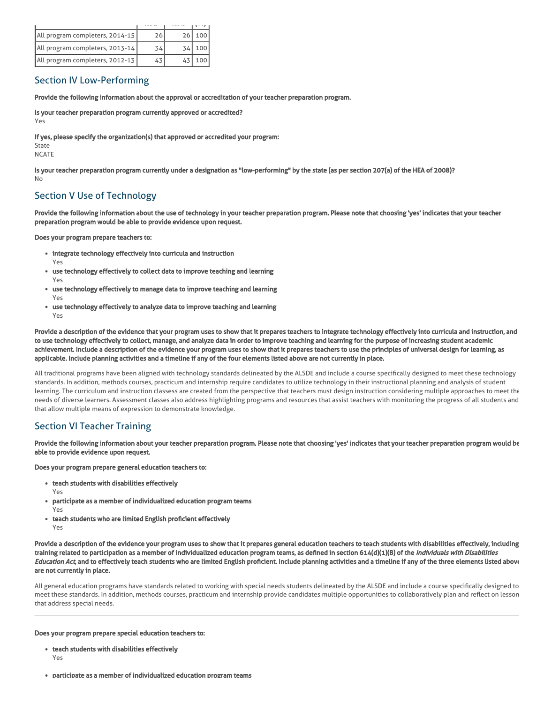| All program completers, 2014-15 | 26 | 26 100 |
|---------------------------------|----|--------|
| All program completers, 2013-14 | 34 | 100    |
| All program completers, 2012-13 |    | 100    |

### Section IV Low-Performing

Provide the following information about the approval or accreditation of your teacher preparation program.

Is your teacher preparation program currently approved or accredited?

Yes

If yes, please specify the organization(s) that approved or accredited your program:

State NCATE

Is your teacher preparation program currently under a designation as "low-performing" by the state (as per section 207(a) of the HEA of 2008)? No

# Section V Use of Technology

Provide the following information about the use of technology in your teacher preparation program. Please note that choosing 'yes' indicates that your teacher preparation program would be able to provide evidence upon request.

Does your program prepare teachers to:

- integrate technology effectively into curricula and instruction
- Yes use technology effectively to collect data to improve teaching and learning Yes
- use technology effectively to manage data to improve teaching and learning Yes
- use technology effectively to analyze data to improve teaching and learning Yes

Provide a description of the evidence that your program uses to show that it prepares teachers to integrate technology effectively into curricula and instruction, and to use technology effectively to collect, manage, and analyze data in order to improve teaching and learning for the purpose of increasing student academic achievement. Include a description of the evidence your program uses to show that it prepares teachers to use the principles of universal design for learning, as applicable. Include planning activities and a timeline if any of the four elements listed above are not currently in place.

All traditional programs have been aligned with technology standards delineated by the ALSDE and include a course specifically designed to meet these technology standards. In addition, methods courses, practicum and internship require candidates to utilize technology in their instructional planning and analysis of student learning. The curriculum and instruction classess are created from the perspective that teachers must design instruction considering multiple approaches to meet the needs of diverse learners. Assessment classes also address highlighting programs and resources that assist teachers with monitoring the progress of all students and that allow multiple means of expression to demonstrate knowledge.

# Section VI Teacher Training

Provide the following information about your teacher preparation program. Please note that choosing 'yes' indicates that your teacher preparation program would be able to provide evidence upon request.

Does your program prepare general education teachers to:

- teach students with disabilities effectively
	- Yes
- participate as a member of individualized education program teams
- Yes
- teach students who are limited English proficient effectively Yes

Provide a description of the evidence your program uses to show that it prepares general education teachers to teach students with disabilities effectively, including training related to participation as a member of individualized education program teams, as defined in section 614(d)(1)(B) of the *Individuals with Disabilities* Education Act, and to effectively teach students who are limited English proficient. Include planning activities and a timeline if any of the three elements listed above are not currently in place.

All general education programs have standards related to working with special needs students delineated by the ALSDE and include a course specifically designed to meet these standards. In addition, methods courses, practicum and internship provide candidates multiple opportunities to collaboratively plan and reflect on lesson that address special needs.

Does your program prepare special education teachers to:

- teach students with disabilities effectively Yes
- participate as a member of individualized education program teams